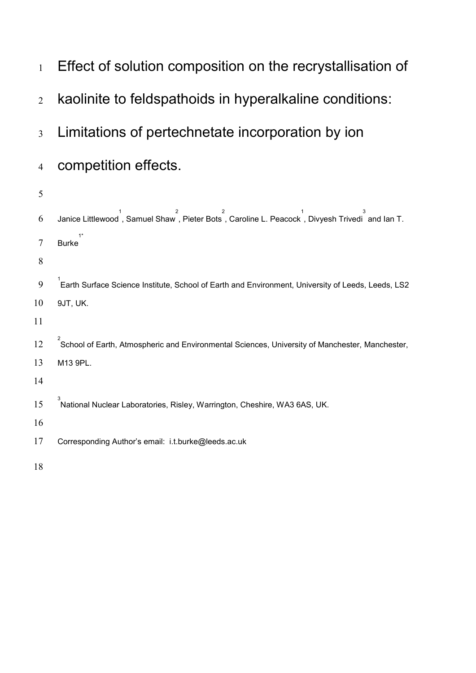1 Effect of solution composition on the recrystallisation of kaolinite to feldspathoids in hyperalkaline conditions: Limitations of pertechnetate incorporation by ion competition effects. f Janice Littlewood, Samuel Shaw, Pieter Bots, Caroline L. Peacock, Divyesh Trivedi<sup>3</sup> and Ian T. Burke 1\* 9 <sup>1</sup> Earth Surface Science Institute, School of Earth and Environment, University of Leeds, Leeds, LS2 9JT, UK. <sup>2</sup> School of Earth, Atmospheric and Environmental Sciences, University of Manchester, Manchester, M13 9PL. <sup>3</sup> National Nuclear Laboratories, Risley, Warrington, Cheshire, WA3 6AS, UK. Corresponding Author's email: i.t.burk[e@leeds.ac.uk](mailto:eejll@leeds.ac.uk)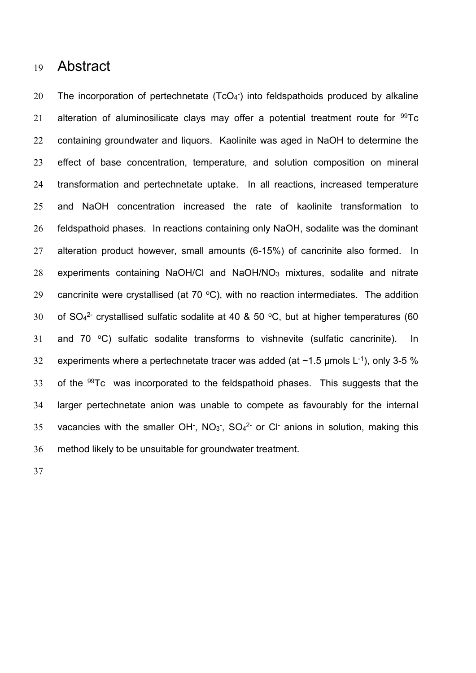# <sup>19</sup> Abstract

20 The incorporation of pertechnetate  $(TcO<sub>4</sub>)$  into feldspathoids produced by alkaline 21 alteration of aluminosilicate clays may offer a potential treatment route for  $99Tc$ 22 containing groundwater and liquors. Kaolinite was aged in NaOH to determine the 23 effect of base concentration, temperature, and solution composition on mineral 24 transformation and pertechnetate uptake. In all reactions, increased temperature 25 and NaOH concentration increased the rate of kaolinite transformation to 26 feldspathoid phases. In reactions containing only NaOH, sodalite was the dominant 27 alteration product however, small amounts (6-15%) of cancrinite also formed. In 28 experiments containing NaOH/Cl and NaOH/NO<sup>3</sup> mixtures, sodalite and nitrate 29 cancrinite were crystallised (at 70  $\degree$ C), with no reaction intermediates. The addition 30 of  $SO_4^2$  crystallised sulfatic sodalite at 40 & 50 °C, but at higher temperatures (60 31 and 70  $\degree$ C) sulfatic sodalite transforms to vishnevite (sulfatic cancrinite). In 32 experiments where a pertechnetate tracer was added (at  $\sim$ 1.5 µmols L<sup>-1</sup>), only 3-5 % 33 of the  $99Tc$  was incorporated to the feldspathoid phases. This suggests that the 34 larger pertechnetate anion was unable to compete as favourably for the internal 35 vacancies with the smaller OH<sup>-</sup>, NO<sub>3</sub><sup>-</sup>, SO<sub>4</sub><sup>2-</sup> or Cl<sup>-</sup> anions in solution, making this 36 method likely to be unsuitable for groundwater treatment.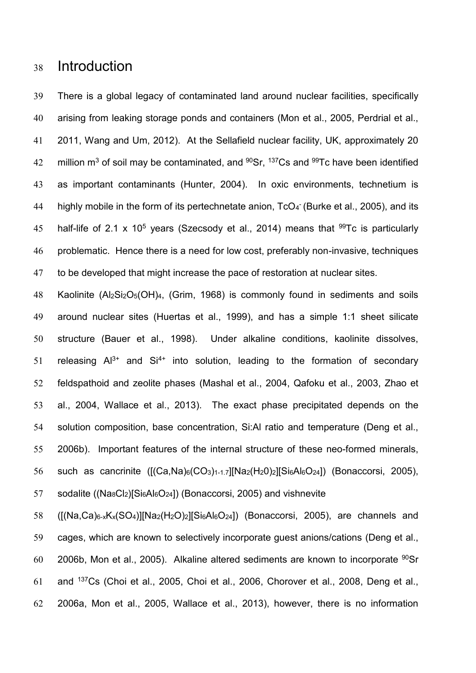# Introduction

 There is a global legacy of contaminated land around nuclear facilities, specifically arising from leaking storage ponds and containers [\(Mon et al., 2005,](#page-16-0) [Perdrial et al.,](#page-16-1)  [2011,](#page-16-1) [Wang and Um, 2012\)](#page-16-2). At the Sellafield nuclear facility, UK, approximately 20 42 million  $m^3$  of soil may be contaminated, and  $90Sr$ ,  $137Cs$  and  $99Tc$  have been identified as important contaminants [\(Hunter, 2004\)](#page-15-0). In oxic environments, technetium is 44 highly mobile in the form of its pertechnetate anion, TcO<sub>4</sub> [\(Burke et al., 2005\)](#page-15-1), and its 45 half-life of 2.1 x 10<sup>5</sup> years [\(Szecsody et al., 2014\)](#page-16-3) means that <sup>99</sup>Tc is particularly problematic. Hence there is a need for low cost, preferably non-invasive, techniques to be developed that might increase the pace of restoration at nuclear sites.

 Kaolinite (Al2Si2O5(OH)4, [\(Grim, 1968\)](#page-15-2) is commonly found in sediments and soils around nuclear sites [\(Huertas et al., 1999\)](#page-15-3), and has a simple 1:1 sheet silicate structure [\(Bauer et al., 1998\)](#page-15-4). Under alkaline conditions, kaolinite dissolves, 51 releasing  $Al^{3+}$  and  $Si^{4+}$  into solution, leading to the formation of secondary feldspathoid and zeolite phases [\(Mashal et al., 2004,](#page-16-4) [Qafoku et al., 2003,](#page-16-5) [Zhao et](#page-16-6)  [al., 2004,](#page-16-6) [Wallace et al., 2013\)](#page-16-7). The exact phase precipitated depends on the solution composition, base concentration, Si:Al ratio and temperature [\(Deng et al.,](#page-15-5)  [2006b\)](#page-15-5). Important features of the internal structure of these neo-formed minerals, such as cancrinite ([(Ca,Na)6(CO3)1-1.7][Na2(H20)2][Si6Al6O24]) [\(Bonaccorsi, 2005\)](#page-15-6), 57 sodalite ((Na<sub>8</sub>Cl<sub>2</sub>)[Si<sub>6</sub>Al<sub>6</sub>O<sub>24</sub>]) [\(Bonaccorsi, 2005\)](#page-15-6) and vishnevite

 ([(Na,Ca)6-xKx(SO4)][Na2(H2O)2][Si6Al6O24]) [\(Bonaccorsi, 2005\)](#page-15-5), are channels and cages, which are known to selectively incorporate guest anions/cations [\(Deng et al.,](#page-15-5)  [2006b,](#page-15-5) [Mon et al., 2005\)](#page-16-0). Alkaline altered sediments are known to incorporate Sr 61 and  $137Cs$  [\(Choi et al., 2005,](#page-15-7) [Choi et al., 2006,](#page-15-8) [Chorover et al., 2008,](#page-15-9) Deng et al., [2006a,](#page-15-10) [Mon et al., 2005,](#page-16-0) [Wallace et al., 2013\)](#page-16-7), however, there is no information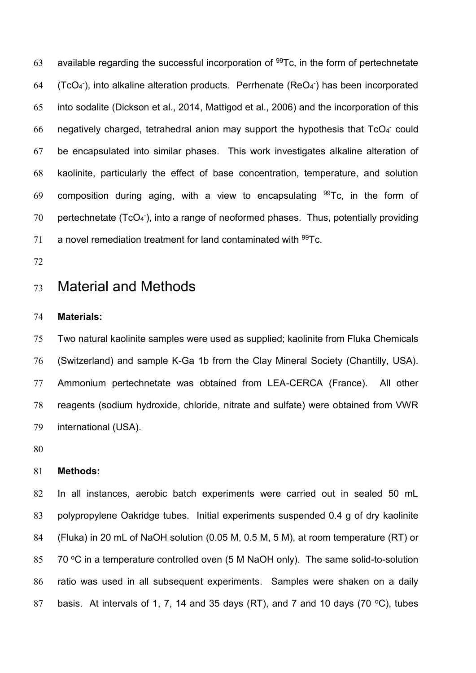63 available regarding the successful incorporation of  $99Tc$ , in the form of pertechnetate 64 (TcO<sub>4</sub><sup>-</sup>), into alkaline alteration products. Perrhenate (ReO<sub>4</sub><sup>-</sup>) has been incorporated into sodalite [\(Dickson et al., 2014,](#page-15-11) [Mattigod et al., 2006\)](#page-16-8) and the incorporation of this 66 negatively charged, tetrahedral anion may support the hypothesis that  $TcO<sub>4</sub>$  could be encapsulated into similar phases. This work investigates alkaline alteration of kaolinite, particularly the effect of base concentration, temperature, and solution 69 composition during aging, with a view to encapsulating  $99Tc$ , in the form of 70 pertechnetate (TcO<sub>4</sub><sup>-</sup>), into a range of neoformed phases. Thus, potentially providing 71 a novel remediation treatment for land contaminated with Tc.

# Material and Methods

### **Materials:**

 Two natural kaolinite samples were used as supplied; kaolinite from Fluka Chemicals (Switzerland) and sample K-Ga 1b from the Clay Mineral Society (Chantilly, USA). Ammonium pertechnetate was obtained from LEA-CERCA (France). All other reagents (sodium hydroxide, chloride, nitrate and sulfate) were obtained from VWR international (USA).

#### **Methods:**

 In all instances, aerobic batch experiments were carried out in sealed 50 mL polypropylene Oakridge tubes. Initial experiments suspended 0.4 g of dry kaolinite (Fluka) in 20 mL of NaOH solution (0.05 M, 0.5 M, 5 M), at room temperature (RT) or  $\,$  70 °C in a temperature controlled oven (5 M NaOH only). The same solid-to-solution ratio was used in all subsequent experiments. Samples were shaken on a daily 87 basis. At intervals of 1, 7, 14 and 35 days (RT), and 7 and 10 days (70 °C), tubes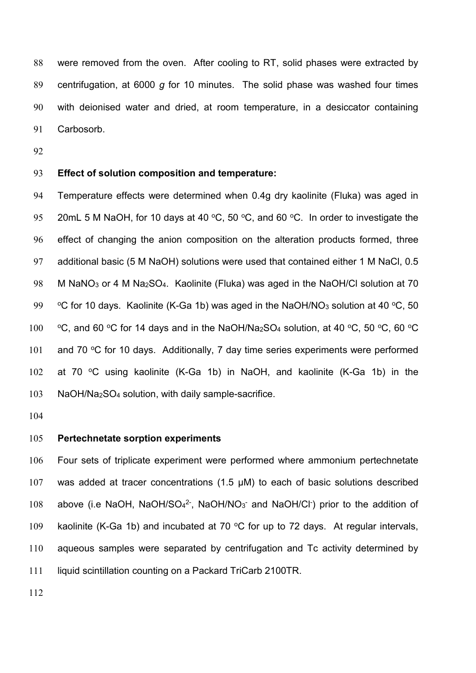were removed from the oven. After cooling to RT, solid phases were extracted by centrifugation, at 6000 *g* for 10 minutes. The solid phase was washed four times with deionised water and dried, at room temperature, in a desiccator containing Carbosorb.

## **Effect of solution composition and temperature:**

 Temperature effects were determined when 0.4g dry kaolinite (Fluka) was aged in 20mL 5 M NaOH, for 10 days at 40  $\degree$ C, 50  $\degree$ C, and 60  $\degree$ C. In order to investigate the effect of changing the anion composition on the alteration products formed, three additional basic (5 M NaOH) solutions were used that contained either 1 M NaCl, 0.5 M NaNO<sup>3</sup> or 4 M Na2SO4. Kaolinite (Fluka) was aged in the NaOH/Cl solution at 70 <sup>o</sup>C for 10 days. Kaolinite (K-Ga 1b) was aged in the NaOH/NO<sub>3</sub> solution at 40 <sup>o</sup>C, 50 100 °C, and 60 °C for 14 days and in the NaOH/Na<sub>2</sub>SO<sub>4</sub> solution, at 40 °C, 50 °C, 60 °C 101 and 70  $\degree$ C for 10 days. Additionally, 7 day time series experiments were performed 102 at 70 °C using kaolinite (K-Ga 1b) in NaOH, and kaolinite (K-Ga 1b) in the NaOH/Na2SO<sup>4</sup> solution, with daily sample-sacrifice.

#### **Pertechnetate sorption experiments**

 Four sets of triplicate experiment were performed where ammonium pertechnetate was added at tracer concentrations (1.5 μM) to each of basic solutions described 108 above (i.e NaOH, NaOH/SO<sub>4</sub><sup>2-</sup>, NaOH/NO<sub>3</sub><sup>-</sup> and NaOH/CI<sup>-</sup>) prior to the addition of 109 kaolinite (K-Ga 1b) and incubated at 70  $\degree$ C for up to 72 days. At regular intervals, aqueous samples were separated by centrifugation and Tc activity determined by liquid scintillation counting on a Packard TriCarb 2100TR.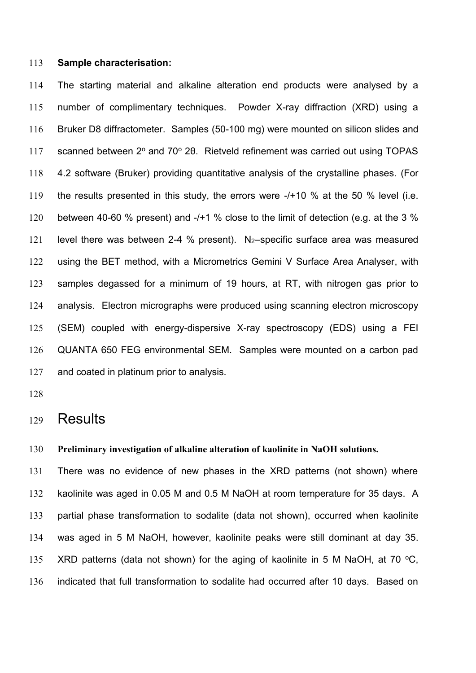## **Sample characterisation:**

 The starting material and alkaline alteration end products were analysed by a number of complimentary techniques. Powder X-ray diffraction (XRD) using a Bruker D8 diffractometer. Samples (50-100 mg) were mounted on silicon slides and 117 scanned between 2° and 70° 2θ. Rietveld refinement was carried out using TOPAS 4.2 software (Bruker) providing quantitative analysis of the crystalline phases. (For the results presented in this study, the errors were -/+10 % at the 50 % level (i.e. 120 between 40-60 % present) and -/+1 % close to the limit of detection (e.g. at the 3 % level there was between 2-4 % present). N2–specific surface area was measured using the BET method, with a Micrometrics Gemini V Surface Area Analyser, with samples degassed for a minimum of 19 hours, at RT, with nitrogen gas prior to analysis. Electron micrographs were produced using scanning electron microscopy (SEM) coupled with energy-dispersive X-ray spectroscopy (EDS) using a FEI QUANTA 650 FEG environmental SEM. Samples were mounted on a carbon pad and coated in platinum prior to analysis.

## Results

#### **Preliminary investigation of alkaline alteration of kaolinite in NaOH solutions.**

 There was no evidence of new phases in the XRD patterns (not shown) where kaolinite was aged in 0.05 M and 0.5 M NaOH at room temperature for 35 days. A partial phase transformation to sodalite (data not shown), occurred when kaolinite was aged in 5 M NaOH, however, kaolinite peaks were still dominant at day 35. 135 XRD patterns (data not shown) for the aging of kaolinite in 5 M NaOH, at 70  $\degree$ C, indicated that full transformation to sodalite had occurred after 10 days. Based on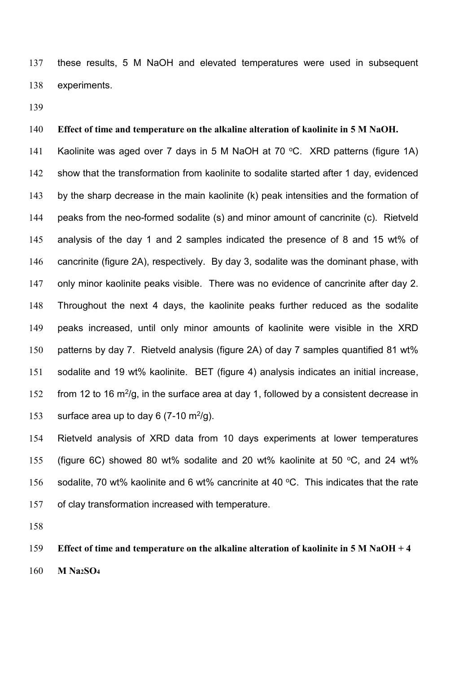these results, 5 M NaOH and elevated temperatures were used in subsequent experiments.

## **Effect of time and temperature on the alkaline alteration of kaolinite in 5 M NaOH.**

141 Kaolinite was aged over 7 days in 5 M NaOH at 70 °C. XRD patterns (figure 1A) show that the transformation from kaolinite to sodalite started after 1 day, evidenced by the sharp decrease in the main kaolinite (k) peak intensities and the formation of peaks from the neo-formed sodalite (s) and minor amount of cancrinite (c). Rietveld analysis of the day 1 and 2 samples indicated the presence of 8 and 15 wt% of cancrinite (figure 2A), respectively. By day 3, sodalite was the dominant phase, with only minor kaolinite peaks visible. There was no evidence of cancrinite after day 2. Throughout the next 4 days, the kaolinite peaks further reduced as the sodalite peaks increased, until only minor amounts of kaolinite were visible in the XRD patterns by day 7. Rietveld analysis (figure 2A) of day 7 samples quantified 81 wt% sodalite and 19 wt% kaolinite. BET (figure 4) analysis indicates an initial increase, 152 from 12 to 16 m<sup>2</sup>/g, in the surface area at day 1, followed by a consistent decrease in 153 surface area up to day 6 (7-10  $\text{m}^2/\text{g}$ ).

 Rietveld analysis of XRD data from 10 days experiments at lower temperatures 155 (figure 6C) showed 80 wt% sodalite and 20 wt% kaolinite at 50  $\degree$ C, and 24 wt% 156 sodalite, 70 wt% kaolinite and 6 wt% cancrinite at 40  $\degree$ C. This indicates that the rate of clay transformation increased with temperature.

 **Effect of time and temperature on the alkaline alteration of kaolinite in 5 M NaOH + 4 M Na2SO<sup>4</sup>**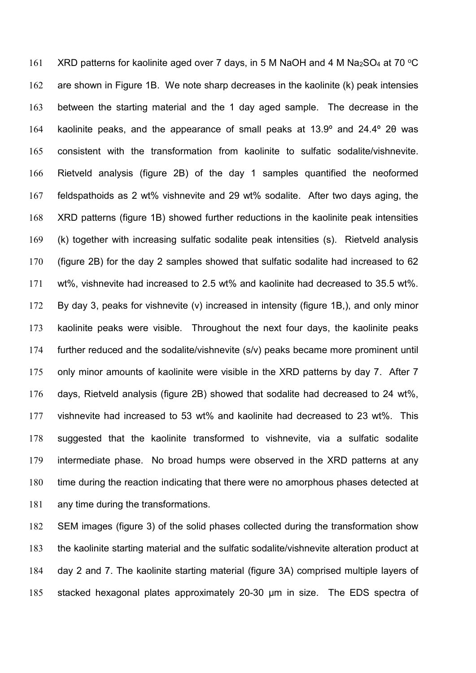161 XRD patterns for kaolinite aged over 7 days, in 5 M NaOH and 4 M Na<sub>2</sub>SO<sub>4</sub> at 70 °C are shown in Figure 1B. We note sharp decreases in the kaolinite (k) peak intensies between the starting material and the 1 day aged sample. The decrease in the 164 kaolinite peaks, and the appearance of small peaks at 13.9° and 24.4° 20 was consistent with the transformation from kaolinite to sulfatic sodalite/vishnevite. Rietveld analysis (figure 2B) of the day 1 samples quantified the neoformed feldspathoids as 2 wt% vishnevite and 29 wt% sodalite. After two days aging, the XRD patterns (figure 1B) showed further reductions in the kaolinite peak intensities (k) together with increasing sulfatic sodalite peak intensities (s). Rietveld analysis (figure 2B) for the day 2 samples showed that sulfatic sodalite had increased to 62 wt%, vishnevite had increased to 2.5 wt% and kaolinite had decreased to 35.5 wt%. By day 3, peaks for vishnevite (v) increased in intensity (figure 1B,), and only minor kaolinite peaks were visible. Throughout the next four days, the kaolinite peaks further reduced and the sodalite/vishnevite (s/v) peaks became more prominent until only minor amounts of kaolinite were visible in the XRD patterns by day 7. After 7 days, Rietveld analysis (figure 2B) showed that sodalite had decreased to 24 wt%, vishnevite had increased to 53 wt% and kaolinite had decreased to 23 wt%. This suggested that the kaolinite transformed to vishnevite, via a sulfatic sodalite intermediate phase. No broad humps were observed in the XRD patterns at any time during the reaction indicating that there were no amorphous phases detected at any time during the transformations.

 SEM images (figure 3) of the solid phases collected during the transformation show the kaolinite starting material and the sulfatic sodalite/vishnevite alteration product at day 2 and 7. The kaolinite starting material (figure 3A) comprised multiple layers of stacked hexagonal plates approximately 20-30 µm in size. The EDS spectra of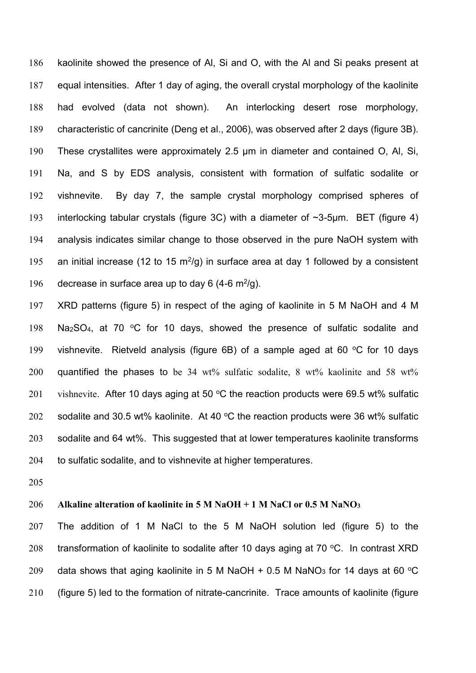kaolinite showed the presence of Al, Si and O, with the Al and Si peaks present at equal intensities. After 1 day of aging, the overall crystal morphology of the kaolinite had evolved (data not shown). An interlocking desert rose morphology, characteristic of cancrinite (Deng et al., 2006), was observed after 2 days (figure 3B). These crystallites were approximately 2.5 µm in diameter and contained O, Al, Si, Na, and S by EDS analysis, consistent with formation of sulfatic sodalite or vishnevite. By day 7, the sample crystal morphology comprised spheres of interlocking tabular crystals (figure 3C) with a diameter of ~3-5µm. BET (figure 4) analysis indicates similar change to those observed in the pure NaOH system with 195 an initial increase (12 to 15 m<sup>2</sup>/g) in surface area at day 1 followed by a consistent 196 decrease in surface area up to day 6 (4-6  $\mathrm{m}^2/\mathrm{g}$ ).

197 XRD patterns (figure 5) in respect of the aging of kaolinite in 5 M NaOH and 4 M 198 Na<sub>2</sub>SO<sub>4</sub>, at 70  $\degree$ C for 10 days, showed the presence of sulfatic sodalite and 199 vishnevite. Rietveld analysis (figure 6B) of a sample aged at 60  $\degree$ C for 10 days 200 quantified the phases to be 34 wt% sulfatic sodalite, 8 wt% kaolinite and 58 wt% 201 vishnevite. After 10 days aging at 50  $\degree$ C the reaction products were 69.5 wt% sulfatic 202 sodalite and 30.5 wt% kaolinite. At 40  $\degree$ C the reaction products were 36 wt% sulfatic 203 sodalite and 64 wt%. This suggested that at lower temperatures kaolinite transforms 204 to sulfatic sodalite, and to vishnevite at higher temperatures.

205

## 206 **Alkaline alteration of kaolinite in 5 M NaOH + 1 M NaCl or 0.5 M NaNO<sup>3</sup>**

207 The addition of 1 M NaCl to the 5 M NaOH solution led (figure 5) to the 208 transformation of kaolinite to sodalite after 10 days aging at 70  $\degree$ C. In contrast XRD 209 data shows that aging kaolinite in 5 M NaOH + 0.5 M NaNO<sub>3</sub> for 14 days at 60 °C 210 (figure 5) led to the formation of nitrate-cancrinite. Trace amounts of kaolinite (figure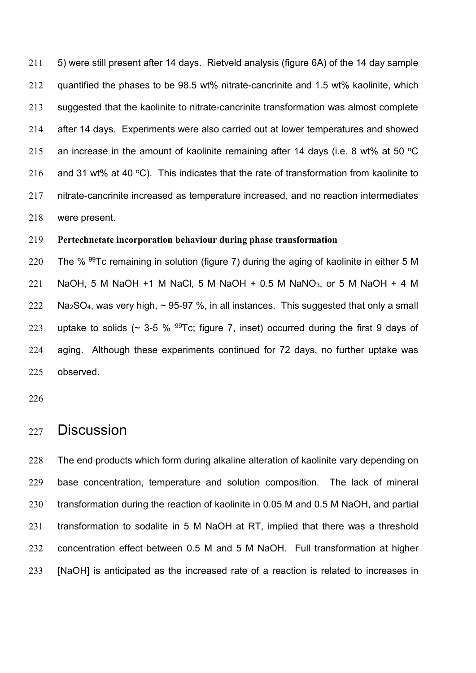5) were still present after 14 days. Rietveld analysis (figure 6A) of the 14 day sample quantified the phases to be 98.5 wt% nitrate-cancrinite and 1.5 wt% kaolinite, which suggested that the kaolinite to nitrate-cancrinite transformation was almost complete after 14 days. Experiments were also carried out at lower temperatures and showed 215 an increase in the amount of kaolinite remaining after 14 days (i.e. 8 wt% at 50  $\degree$ C 216 and 31 wt% at 40 °C). This indicates that the rate of transformation from kaolinite to nitrate-cancrinite increased as temperature increased, and no reaction intermediates were present.

#### **Pertechnetate incorporation behaviour during phase transformation**

220 The %  $99Tc$  remaining in solution (figure 7) during the aging of kaolinite in either 5 M 221 NaOH, 5 M NaOH +1 M NaCl, 5 M NaOH + 0.5 M NaNO<sub>3</sub>, or 5 M NaOH + 4 M Na<sub>2</sub>SO<sub>4</sub>, was very high,  $\sim$  95-97 %, in all instances. This suggested that only a small 223 uptake to solids ( $\sim$  3-5 %  $^{99}$ Tc; figure 7, inset) occurred during the first 9 days of aging. Although these experiments continued for 72 days, no further uptake was observed.

## Discussion

 The end products which form during alkaline alteration of kaolinite vary depending on base concentration, temperature and solution composition. The lack of mineral transformation during the reaction of kaolinite in 0.05 M and 0.5 M NaOH, and partial transformation to sodalite in 5 M NaOH at RT, implied that there was a threshold concentration effect between 0.5 M and 5 M NaOH. Full transformation at higher [NaOH] is anticipated as the increased rate of a reaction is related to increases in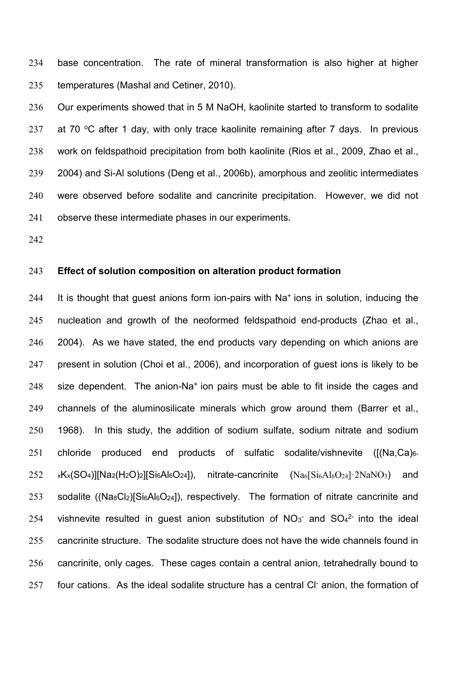base concentration. The rate of mineral transformation is also higher at higher temperatures [\(Mashal and Cetiner, 2010\)](#page-16-9).

 Our experiments showed that in 5 M NaOH, kaolinite started to transform to sodalite 237 at 70  $\degree$ C after 1 day, with only trace kaolinite remaining after 7 days. In previous work on feldspathoid precipitation from both kaolinite [\(Rios et al., 2009,](#page-16-10) [Zhao et al.,](#page-16-6)  [2004\)](#page-16-6) and Si-Al solutions [\(Deng et al., 2006b\)](#page-15-5), amorphous and zeolitic intermediates were observed before sodalite and cancrinite precipitation. However, we did not observe these intermediate phases in our experiments.

#### **Effect of solution composition on alteration product formation**

244 It is thought that guest anions form ion-pairs with  $Na<sup>+</sup>$  ions in solution, inducing the nucleation and growth of the neoformed feldspathoid end-products [\(Zhao et al.,](#page-16-6)  [2004\)](#page-16-6). As we have stated, the end products vary depending on which anions are present in solution [\(Choi et al., 2006\)](#page-15-8), and incorporation of guest ions is likely to be 248 size dependent. The anion-Na<sup>+</sup> ion pairs must be able to fit inside the cages and channels of the aluminosilicate minerals which grow around them [\(Barrer et al.,](#page-15-12)  [1968\)](#page-15-12). In this study, the addition of sodium sulfate, sodium nitrate and sodium 251 chloride produced end products of sulfatic sodalite/vishnevite ([(Na,Ca)<sub>6-</sub>  $252 \times$   $xK_x(SO_4)[Na_2(H_2O)_2][Si_6Al_6O_{24}]$ , nitrate-cancrinite  $(Na_6[Si_6Al_6O_{24}] \cdot 2NaNO_3)$  and 253 sodalite ((Na<sub>8</sub>Cl<sub>2</sub>)[Si<sub>6</sub>Al<sub>6</sub>O<sub>24</sub>]), respectively. The formation of nitrate cancrinite and 254 vishnevite resulted in guest anion substitution of  $NO<sub>3</sub>$  and  $SO<sub>4</sub><sup>2</sup>$  into the ideal cancrinite structure. The sodalite structure does not have the wide channels found in cancrinite, only cages. These cages contain a central anion, tetrahedrally bound to 257 four cations. As the ideal sodalite structure has a central CI- anion, the formation of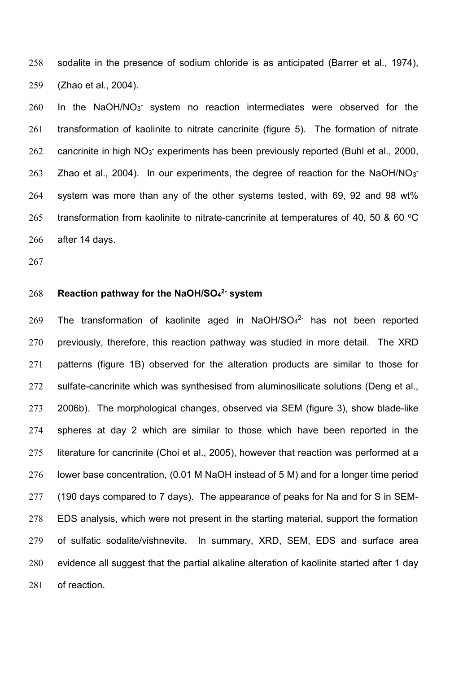sodalite in the presence of sodium chloride is as anticipated [\(Barrer et al., 1974\)](#page-15-13), [\(Zhao et al., 2004\)](#page-16-6).

 In the NaOH/NO $3<sup>-</sup>$  system no reaction intermediates were observed for the transformation of kaolinite to nitrate cancrinite (figure 5). The formation of nitrate 262 cancrinite in high NO<sub>3</sub> experiments has been previously reported [\(Buhl et al., 2000,](#page-15-14) [Zhao et al., 2004\)](#page-16-6). In our experiments, the degree of reaction for the NaOH/NO $3<sup>2</sup>$  system was more than any of the other systems tested, with 69, 92 and 98 wt% 265 transformation from kaolinite to nitrate-cancrinite at temperatures of 40, 50 & 60  $^{\circ}$ C after 14 days.

#### **Reaction pathway for the NaOH/SO<sup>4</sup> 2- system**

269 The transformation of kaolinite aged in NaOH/SO $4^{2}$  has not been reported previously, therefore, this reaction pathway was studied in more detail. The XRD patterns (figure 1B) observed for the alteration products are similar to those for sulfate-cancrinite which was synthesised from aluminosilicate solutions [\(Deng et al.,](#page-15-5)  [2006b\)](#page-15-5). The morphological changes, observed via SEM (figure 3), show blade-like spheres at day 2 which are similar to those which have been reported in the literature for cancrinite [\(Choi et al., 2005\)](#page-15-7), however that reaction was performed at a lower base concentration, (0.01 M NaOH instead of 5 M) and for a longer time period (190 days compared to 7 days). The appearance of peaks for Na and for S in SEM- EDS analysis, which were not present in the starting material, support the formation of sulfatic sodalite/vishnevite. In summary, XRD, SEM, EDS and surface area evidence all suggest that the partial alkaline alteration of kaolinite started after 1 day of reaction.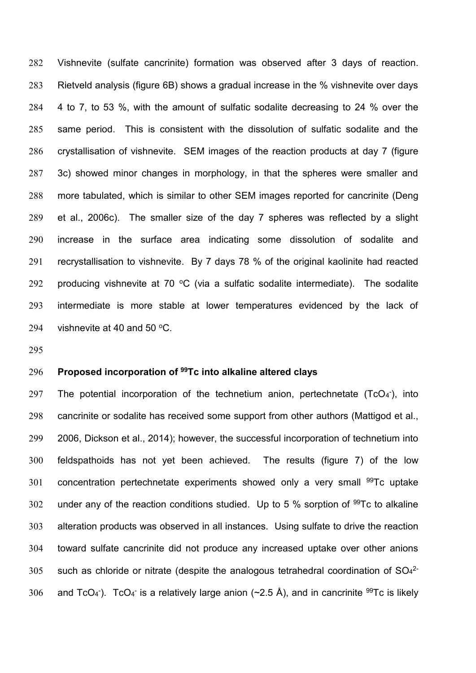Vishnevite (sulfate cancrinite) formation was observed after 3 days of reaction. Rietveld analysis (figure 6B) shows a gradual increase in the % vishnevite over days 4 to 7, to 53 %, with the amount of sulfatic sodalite decreasing to 24 % over the same period. This is consistent with the dissolution of sulfatic sodalite and the crystallisation of vishnevite. SEM images of the reaction products at day 7 (figure 3c) showed minor changes in morphology, in that the spheres were smaller and more tabulated, which is similar to other SEM images reported for cancrinite [\(Deng](#page-15-15)  [et al., 2006c\)](#page-15-15). The smaller size of the day 7 spheres was reflected by a slight increase in the surface area indicating some dissolution of sodalite and recrystallisation to vishnevite. By 7 days 78 % of the original kaolinite had reacted 292 producing vishnevite at 70  $\degree$ C (via a sulfatic sodalite intermediate). The sodalite intermediate is more stable at lower temperatures evidenced by the lack of 294 vishnevite at 40 and 50  $\mathrm{°C}$ .

## **Proposed incorporation of <sup>99</sup> Tc into alkaline altered clays**

297 The potential incorporation of the technetium anion, pertechnetate  $(TcO<sub>4</sub>)$ , into cancrinite or sodalite has received some support from other authors [\(Mattigod et al.,](#page-16-8)  [2006,](#page-16-8) [Dickson et al., 2014\)](#page-15-11); however, the successful incorporation of technetium into feldspathoids has not yet been achieved. The results (figure 7) of the low 301 concentration pertechnetate experiments showed only a very small  $99Tc$  uptake 302 under any of the reaction conditions studied. Up to 5  $%$  sorption of  $99$ Tc to alkaline alteration products was observed in all instances. Using sulfate to drive the reaction toward sulfate cancrinite did not produce any increased uptake over other anions 305 such as chloride or nitrate (despite the analogous tetrahedral coordination of  $SO<sub>4</sub><sup>2</sup>$ 306 and TcO<sub>4</sub><sup>-</sup>). TcO<sub>4</sub><sup>-</sup> is a relatively large anion (~2.5 Å), and in cancrinite <sup>99</sup>Tc is likely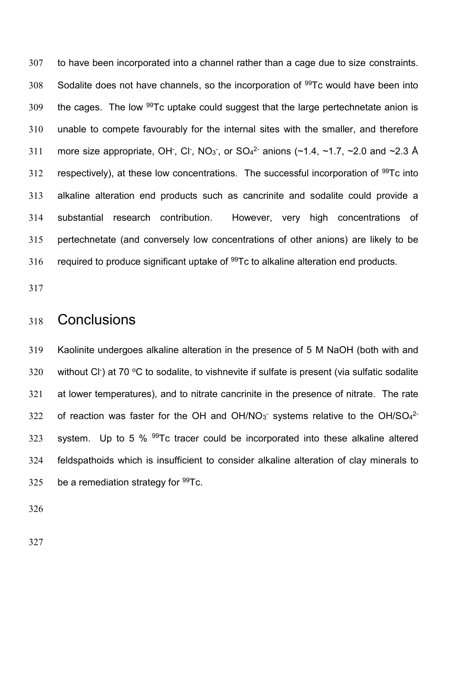to have been incorporated into a channel rather than a cage due to size constraints. Sodalite does not have channels, so the incorporation of  $99Tc$  would have been into the cages. The low  $99Tc$  uptake could suggest that the large pertechnetate anion is unable to compete favourably for the internal sites with the smaller, and therefore 311 more size appropriate, OH, CI, NO<sub>3</sub>, or SO<sub>4</sub><sup>2</sup> anions (~1.4, ~1.7, ~2.0 and ~2.3 Å 312 respectively), at these low concentrations. The successful incorporation of  $99Tc$  into alkaline alteration end products such as cancrinite and sodalite could provide a substantial research contribution. However, very high concentrations of pertechnetate (and conversely low concentrations of other anions) are likely to be 316 required to produce significant uptake of  $99Tc$  to alkaline alteration end products.

# Conclusions

 Kaolinite undergoes alkaline alteration in the presence of 5 M NaOH (both with and 320 without CI at 70  $\rm{^{\circ}C}$  to sodalite, to vishnevite if sulfate is present (via sulfatic sodalite at lower temperatures), and to nitrate cancrinite in the presence of nitrate. The rate 322 of reaction was faster for the OH and OH/NO<sup>-</sup> systems relative to the OH/SO $4^{2}$ -323 system. Up to 5 % Tc tracer could be incorporated into these alkaline altered feldspathoids which is insufficient to consider alkaline alteration of clay minerals to 325 be a remediation strategy for Tc.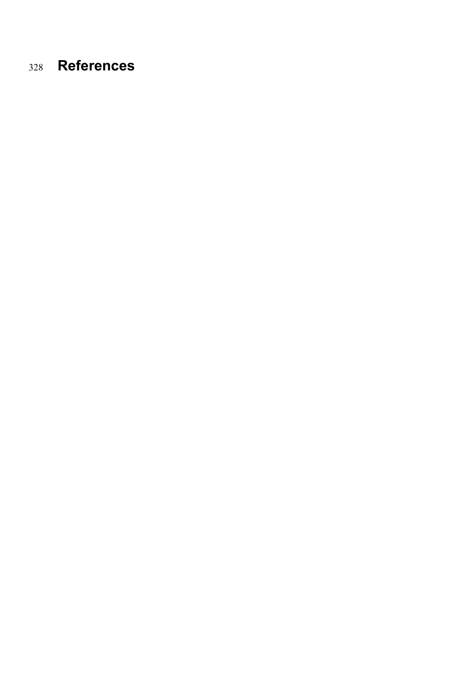# **References**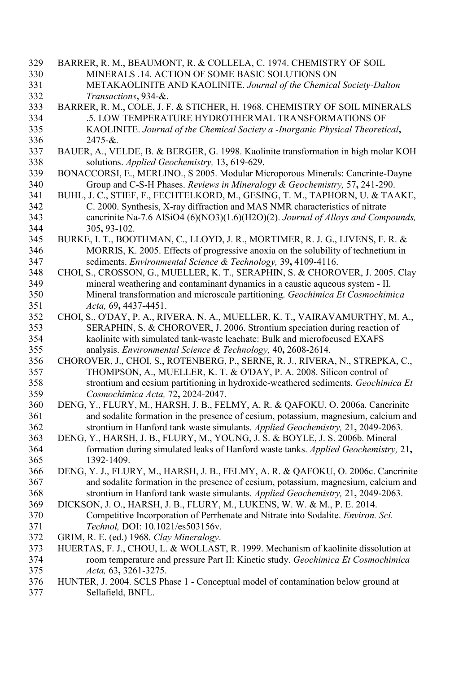- <span id="page-15-14"></span><span id="page-15-13"></span><span id="page-15-12"></span><span id="page-15-8"></span><span id="page-15-7"></span><span id="page-15-6"></span><span id="page-15-4"></span><span id="page-15-1"></span> BARRER, R. M., BEAUMONT, R. & COLLELA, C. 1974. CHEMISTRY OF SOIL MINERALS .14. ACTION OF SOME BASIC SOLUTIONS ON METAKAOLINITE AND KAOLINITE. *Journal of the Chemical Society-Dalton Transactions***,** 934-&. BARRER, R. M., COLE, J. F. & STICHER, H. 1968. CHEMISTRY OF SOIL MINERALS .5. LOW TEMPERATURE HYDROTHERMAL TRANSFORMATIONS OF KAOLINITE. *Journal of the Chemical Society a -Inorganic Physical Theoretical***,** 2475-&. BAUER, A., VELDE, B. & BERGER, G. 1998. Kaolinite transformation in high molar KOH solutions. *Applied Geochemistry,* 13**,** 619-629. BONACCORSI, E., MERLINO., S 2005. Modular Microporous Minerals: Cancrinte-Dayne Group and C-S-H Phases. *Reviews in Mineralogy & Geochemistry,* 57**,** 241-290. BUHL, J. C., STIEF, F., FECHTELKORD, M., GESING, T. M., TAPHORN, U. & TAAKE, C. 2000. Synthesis, X-ray diffraction and MAS NMR characteristics of nitrate cancrinite Na-7.6 AlSiO4 (6)(NO3)(1.6)(H2O)(2). *Journal of Alloys and Compounds,* 305**,** 93-102. BURKE, I. T., BOOTHMAN, C., LLOYD, J. R., MORTIMER, R. J. G., LIVENS, F. R. & MORRIS, K. 2005. Effects of progressive anoxia on the solubility of technetium in sediments. *Environmental Science & Technology,* 39**,** 4109-4116. CHOI, S., CROSSON, G., MUELLER, K. T., SERAPHIN, S. & CHOROVER, J. 2005. Clay mineral weathering and contaminant dynamics in a caustic aqueous system - II. Mineral transformation and microscale partitioning. *Geochimica Et Cosmochimica Acta,* 69**,** 4437-4451. CHOI, S., O'DAY, P. A., RIVERA, N. A., MUELLER, K. T., VAIRAVAMURTHY, M. A., SERAPHIN, S. & CHOROVER, J. 2006. Strontium speciation during reaction of kaolinite with simulated tank-waste leachate: Bulk and microfocused EXAFS analysis. *Environmental Science & Technology,* 40**,** 2608-2614. CHOROVER, J., CHOI, S., ROTENBERG, P., SERNE, R. J., RIVERA, N., STREPKA, C., THOMPSON, A., MUELLER, K. T. & O'DAY, P. A. 2008. Silicon control of strontium and cesium partitioning in hydroxide-weathered sediments. *Geochimica Et Cosmochimica Acta,* 72**,** 2024-2047. DENG, Y., FLURY, M., HARSH, J. B., FELMY, A. R. & QAFOKU, O. 2006a. Cancrinite and sodalite formation in the presence of cesium, potassium, magnesium, calcium and strontium in Hanford tank waste simulants. *Applied Geochemistry,* 21**,** 2049-2063. DENG, Y., HARSH, J. B., FLURY, M., YOUNG, J. S. & BOYLE, J. S. 2006b. Mineral formation during simulated leaks of Hanford waste tanks. *Applied Geochemistry,* 21**,** 1392-1409. DENG, Y. J., FLURY, M., HARSH, J. B., FELMY, A. R. & QAFOKU, O. 2006c. Cancrinite and sodalite formation in the presence of cesium, potassium, magnesium, calcium and strontium in Hanford tank waste simulants. *Applied Geochemistry,* 21**,** 2049-2063. DICKSON, J. O., HARSH, J. B., FLURY, M., LUKENS, W. W. & M., P. E. 2014. Competitive Incorporation of Perrhenate and Nitrate into Sodalite. *Environ. Sci. Technol,* DOI: 10.1021/es503156v. GRIM, R. E. (ed.) 1968. *Clay Mineralogy*. HUERTAS, F. J., CHOU, L. & WOLLAST, R. 1999. Mechanism of kaolinite dissolution at room temperature and pressure Part II: Kinetic study. *Geochimica Et Cosmochimica Acta,* 63**,** 3261-3275.
- <span id="page-15-15"></span><span id="page-15-11"></span><span id="page-15-10"></span><span id="page-15-9"></span><span id="page-15-5"></span><span id="page-15-3"></span><span id="page-15-2"></span><span id="page-15-0"></span> HUNTER, J. 2004. SCLS Phase 1 - Conceptual model of contamination below ground at Sellafield, BNFL.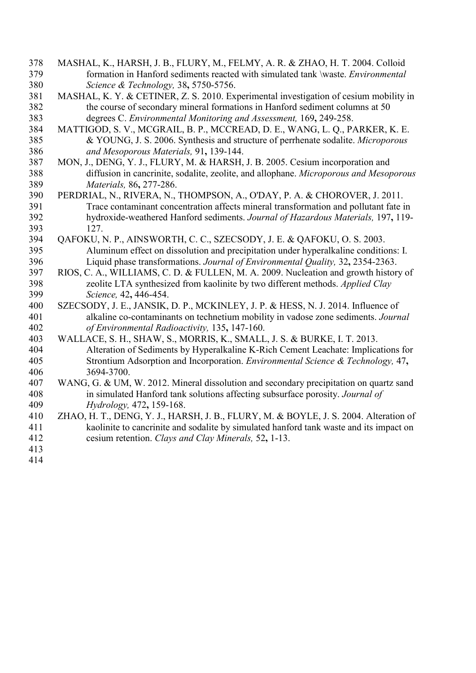- <span id="page-16-4"></span> MASHAL, K., HARSH, J. B., FLURY, M., FELMY, A. R. & ZHAO, H. T. 2004. Colloid formation in Hanford sediments reacted with simulated tank \waste. *Environmental Science & Technology,* 38**,** 5750-5756.
- <span id="page-16-9"></span> MASHAL, K. Y. & CETINER, Z. S. 2010. Experimental investigation of cesium mobility in the course of secondary mineral formations in Hanford sediment columns at 50 degrees C. *Environmental Monitoring and Assessment,* 169**,** 249-258.
- <span id="page-16-8"></span> MATTIGOD, S. V., MCGRAIL, B. P., MCCREAD, D. E., WANG, L. Q., PARKER, K. E. & YOUNG, J. S. 2006. Synthesis and structure of perrhenate sodalite. *Microporous and Mesoporous Materials,* 91**,** 139-144.
- <span id="page-16-0"></span> MON, J., DENG, Y. J., FLURY, M. & HARSH, J. B. 2005. Cesium incorporation and diffusion in cancrinite, sodalite, zeolite, and allophane. *Microporous and Mesoporous Materials,* 86**,** 277-286.
- <span id="page-16-1"></span> PERDRIAL, N., RIVERA, N., THOMPSON, A., O'DAY, P. A. & CHOROVER, J. 2011. Trace contaminant concentration affects mineral transformation and pollutant fate in hydroxide-weathered Hanford sediments. *Journal of Hazardous Materials,* 197**,** 119- 127.
- <span id="page-16-5"></span> QAFOKU, N. P., AINSWORTH, C. C., SZECSODY, J. E. & QAFOKU, O. S. 2003. Aluminum effect on dissolution and precipitation under hyperalkaline conditions: I. Liquid phase transformations. *Journal of Environmental Quality,* 32**,** 2354-2363.
- <span id="page-16-10"></span> RIOS, C. A., WILLIAMS, C. D. & FULLEN, M. A. 2009. Nucleation and growth history of zeolite LTA synthesized from kaolinite by two different methods. *Applied Clay Science,* 42**,** 446-454.
- <span id="page-16-3"></span> SZECSODY, J. E., JANSIK, D. P., MCKINLEY, J. P. & HESS, N. J. 2014. Influence of alkaline co-contaminants on technetium mobility in vadose zone sediments. *Journal of Environmental Radioactivity,* 135**,** 147-160.
- <span id="page-16-7"></span> WALLACE, S. H., SHAW, S., MORRIS, K., SMALL, J. S. & BURKE, I. T. 2013. Alteration of Sediments by Hyperalkaline K-Rich Cement Leachate: Implications for Strontium Adsorption and Incorporation. *Environmental Science & Technology,* 47**,** 3694-3700.
- <span id="page-16-2"></span> WANG, G. & UM, W. 2012. Mineral dissolution and secondary precipitation on quartz sand in simulated Hanford tank solutions affecting subsurface porosity. *Journal of Hydrology,* 472**,** 159-168.
- <span id="page-16-6"></span> ZHAO, H. T., DENG, Y. J., HARSH, J. B., FLURY, M. & BOYLE, J. S. 2004. Alteration of kaolinite to cancrinite and sodalite by simulated hanford tank waste and its impact on cesium retention. *Clays and Clay Minerals,* 52**,** 1-13.
- 
-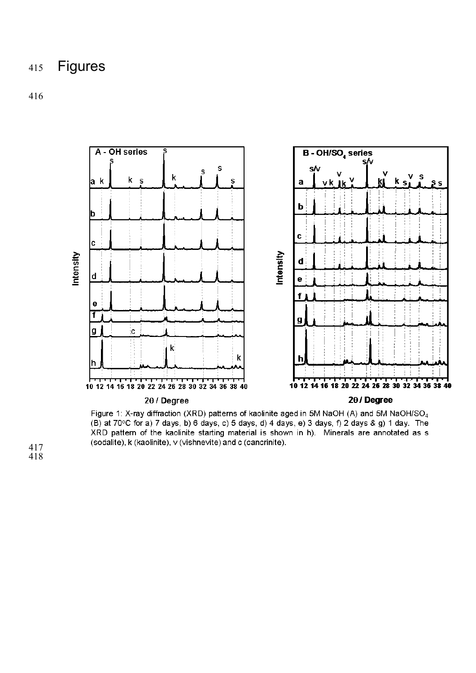# Figures



#### $2\theta$  / Degree

20 / Degree

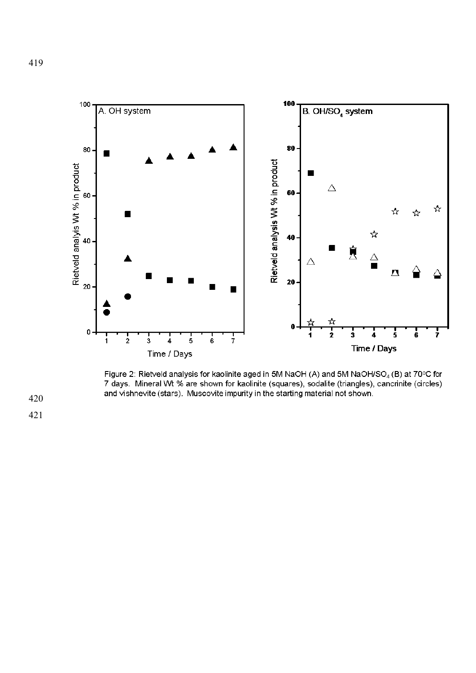

Figure 2: Rietveld analysis for kaolinite aged in 5M NaOH (A) and 5M NaOH/SO<sub>4</sub> (B) at 70°C for 7 days. Mineral Wt % are shown for kaolinite (squares), sodalite (triangles), cancrinite (circles) and vishnevite (stars). Muscovite impurity in the starting material not shown.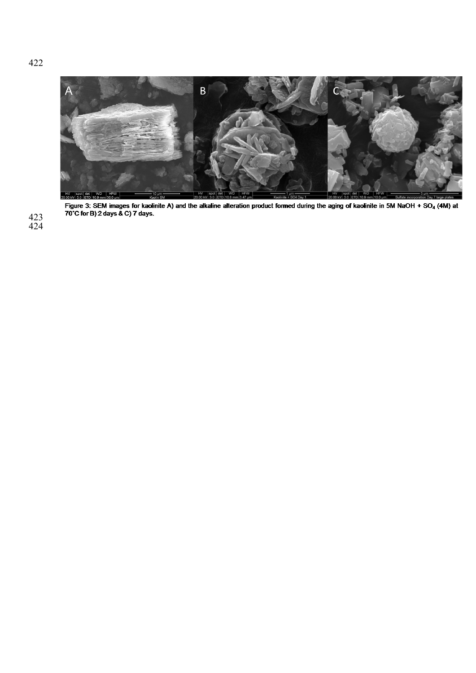

Figure 3: SEM images for kaolinite A) and the alkaline alteration product formed during the aging of kaolinite in 5M NaOH + SO<sub>4</sub> (4M) at 70°C for B) 2 days & C) 7 days.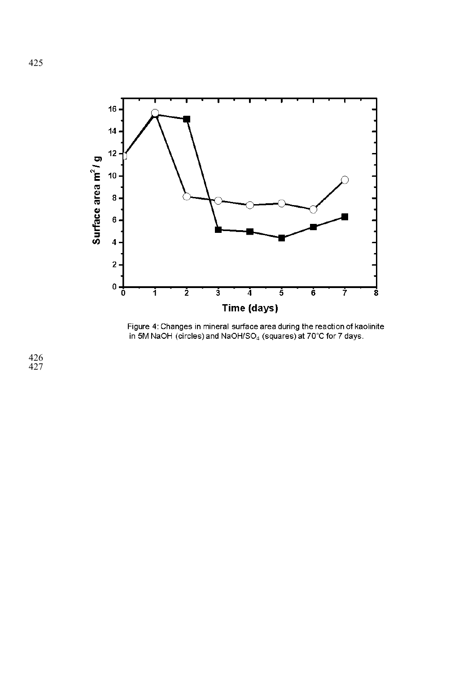

Figure 4: Changes in mineral surface area during the reaction of kaolinite in 5M NaOH (circles) and NaOH/SO<sub>4</sub> (squares) at 70°C for 7 days.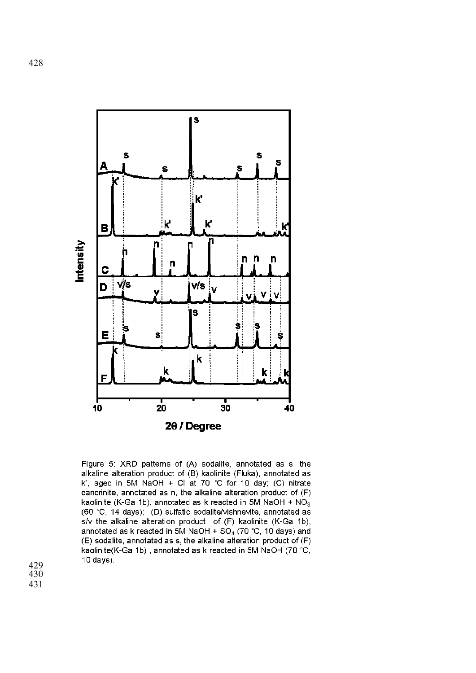

Figure 5: XRD patterns of (A) sodalite, annotated as s, the alkaline alteration product of (B) kaolinite (Fluka), annotated as k', aged in 5M NaOH + Cl at 70 °C for 10 day; (C) nitrate cancrinite, annotated as n, the alkaline alteration product of (F) kaolinite (K-Ga 1b), annotated as k reacted in 5M NaOH +  $NO<sub>3</sub>$ (60 °C, 14 days); (D) sulfatic sodalite/vishnevite, annotated as s/v the alkaline alteration product of (F) kaolinite (K-Ga 1b), annotated as k reacted in 5M NaOH +  $SO<sub>4</sub>$  (70 °C, 10 days) and (E) sodalite, annotated as s, the alkaline alteration product of (F) kaolinite(K-Ga 1b), annotated as k reacted in 5M NaOH (70 °C,  $10$  days).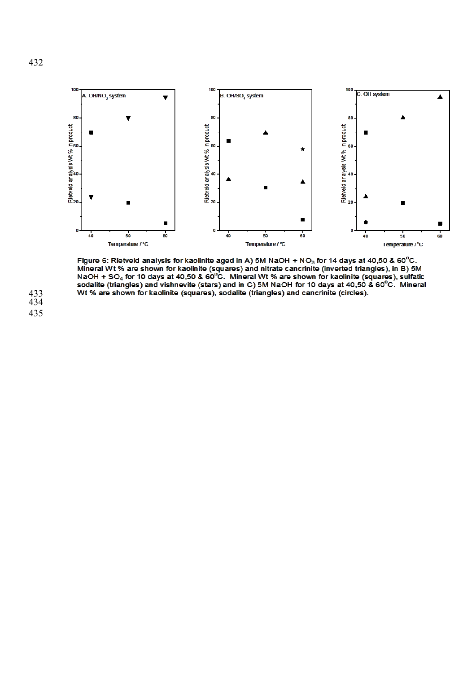

Figure 6: Rietveld analysis for kaolinite aged in A) 5M NaOH +  $NO<sub>3</sub>$  for 14 days at 40,50 & 60<sup>o</sup>C.<br>Mineral Wt % are shown for kaolinite (squares) and nitrate cancrinite (inverted triangles), in B) 5M NaOH + SO<sub>4</sub> for 10 days at 40,50 & 60<sup>o</sup>C. Mineral Wt % are shown for kaolinite (squares), sulfatic sodalite (triangles) and vishnevite (stars) and in C) 5M NaOH for 10 days at 40,50 & 60<sup>o</sup>C. Mineral Wt % are shown for kaolinite (squares), sodalite (triangles) and cancrinite (circles).